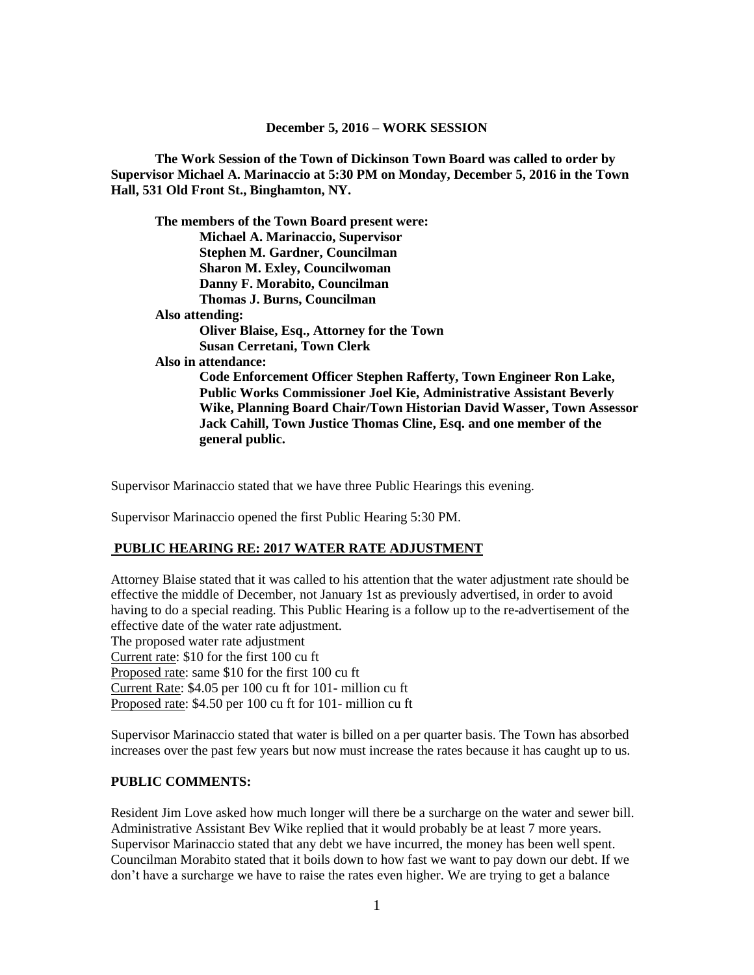**The Work Session of the Town of Dickinson Town Board was called to order by Supervisor Michael A. Marinaccio at 5:30 PM on Monday, December 5, 2016 in the Town Hall, 531 Old Front St., Binghamton, NY.**

**The members of the Town Board present were: Michael A. Marinaccio, Supervisor Stephen M. Gardner, Councilman Sharon M. Exley, Councilwoman Danny F. Morabito, Councilman Thomas J. Burns, Councilman Also attending: Oliver Blaise, Esq., Attorney for the Town Susan Cerretani, Town Clerk Also in attendance: Code Enforcement Officer Stephen Rafferty, Town Engineer Ron Lake, Public Works Commissioner Joel Kie, Administrative Assistant Beverly Wike, Planning Board Chair/Town Historian David Wasser, Town Assessor Jack Cahill, Town Justice Thomas Cline, Esq. and one member of the general public.**

Supervisor Marinaccio stated that we have three Public Hearings this evening.

Supervisor Marinaccio opened the first Public Hearing 5:30 PM.

Proposed rate: \$4.50 per 100 cu ft for 101- million cu ft

#### **PUBLIC HEARING RE: 2017 WATER RATE ADJUSTMENT**

Attorney Blaise stated that it was called to his attention that the water adjustment rate should be effective the middle of December, not January 1st as previously advertised, in order to avoid having to do a special reading. This Public Hearing is a follow up to the re-advertisement of the effective date of the water rate adjustment. The proposed water rate adjustment Current rate: \$10 for the first 100 cu ft Proposed rate: same \$10 for the first 100 cu ft Current Rate: \$4.05 per 100 cu ft for 101- million cu ft

Supervisor Marinaccio stated that water is billed on a per quarter basis. The Town has absorbed increases over the past few years but now must increase the rates because it has caught up to us.

#### **PUBLIC COMMENTS:**

Resident Jim Love asked how much longer will there be a surcharge on the water and sewer bill. Administrative Assistant Bev Wike replied that it would probably be at least 7 more years. Supervisor Marinaccio stated that any debt we have incurred, the money has been well spent. Councilman Morabito stated that it boils down to how fast we want to pay down our debt. If we don't have a surcharge we have to raise the rates even higher. We are trying to get a balance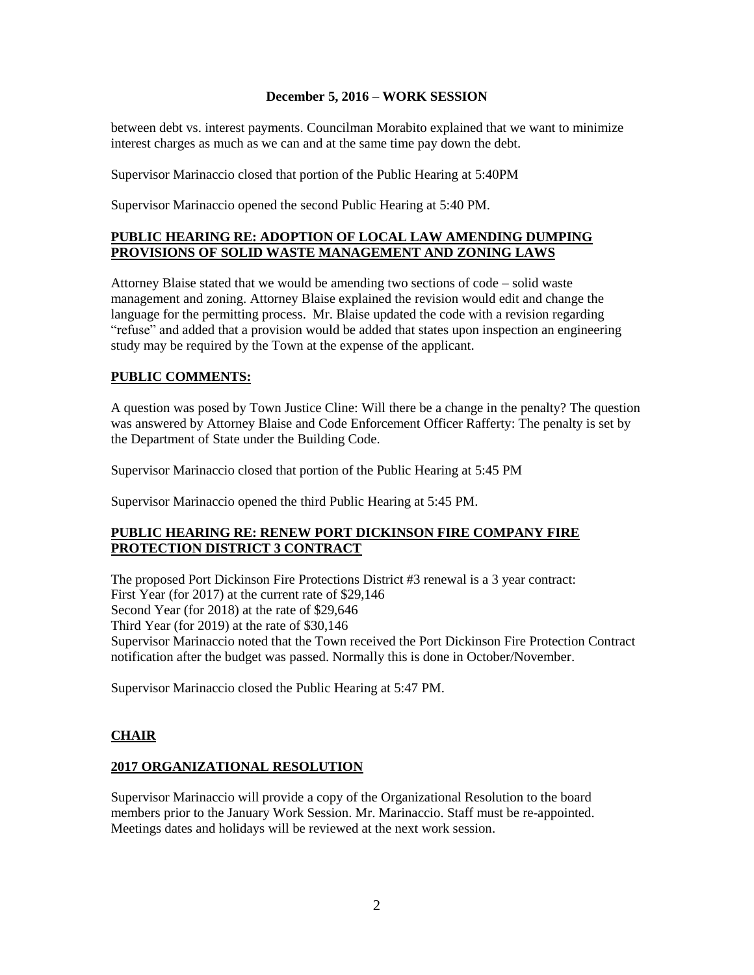between debt vs. interest payments. Councilman Morabito explained that we want to minimize interest charges as much as we can and at the same time pay down the debt.

Supervisor Marinaccio closed that portion of the Public Hearing at 5:40PM

Supervisor Marinaccio opened the second Public Hearing at 5:40 PM.

## **PUBLIC HEARING RE: ADOPTION OF LOCAL LAW AMENDING DUMPING PROVISIONS OF SOLID WASTE MANAGEMENT AND ZONING LAWS**

Attorney Blaise stated that we would be amending two sections of code – solid waste management and zoning. Attorney Blaise explained the revision would edit and change the language for the permitting process. Mr. Blaise updated the code with a revision regarding "refuse" and added that a provision would be added that states upon inspection an engineering study may be required by the Town at the expense of the applicant.

## **PUBLIC COMMENTS:**

A question was posed by Town Justice Cline: Will there be a change in the penalty? The question was answered by Attorney Blaise and Code Enforcement Officer Rafferty: The penalty is set by the Department of State under the Building Code.

Supervisor Marinaccio closed that portion of the Public Hearing at 5:45 PM

Supervisor Marinaccio opened the third Public Hearing at 5:45 PM.

## **PUBLIC HEARING RE: RENEW PORT DICKINSON FIRE COMPANY FIRE PROTECTION DISTRICT 3 CONTRACT**

The proposed Port Dickinson Fire Protections District #3 renewal is a 3 year contract: First Year (for 2017) at the current rate of \$29,146 Second Year (for 2018) at the rate of \$29,646 Third Year (for 2019) at the rate of \$30,146 Supervisor Marinaccio noted that the Town received the Port Dickinson Fire Protection Contract notification after the budget was passed. Normally this is done in October/November.

Supervisor Marinaccio closed the Public Hearing at 5:47 PM.

# **CHAIR**

### **2017 ORGANIZATIONAL RESOLUTION**

Supervisor Marinaccio will provide a copy of the Organizational Resolution to the board members prior to the January Work Session. Mr. Marinaccio. Staff must be re-appointed. Meetings dates and holidays will be reviewed at the next work session.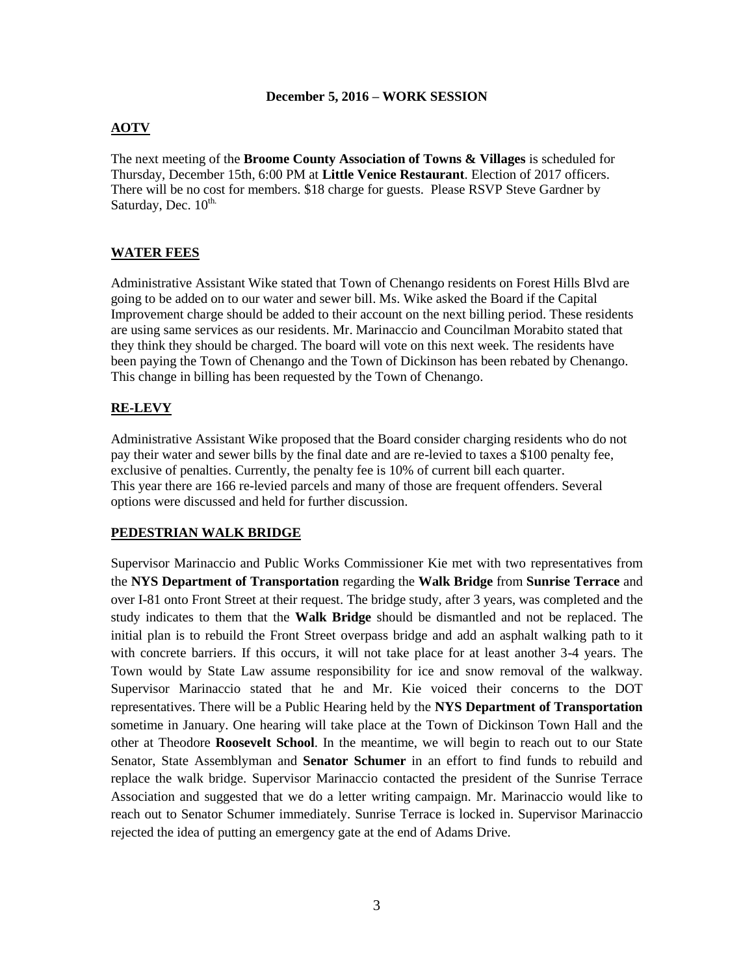## **AOTV**

The next meeting of the **Broome County Association of Towns & Villages** is scheduled for Thursday, December 15th, 6:00 PM at **Little Venice Restaurant**. Election of 2017 officers. There will be no cost for members. \$18 charge for guests. Please RSVP Steve Gardner by Saturday, Dec.  $10^{\text{th}}$ .

## **WATER FEES**

Administrative Assistant Wike stated that Town of Chenango residents on Forest Hills Blvd are going to be added on to our water and sewer bill. Ms. Wike asked the Board if the Capital Improvement charge should be added to their account on the next billing period. These residents are using same services as our residents. Mr. Marinaccio and Councilman Morabito stated that they think they should be charged. The board will vote on this next week. The residents have been paying the Town of Chenango and the Town of Dickinson has been rebated by Chenango. This change in billing has been requested by the Town of Chenango.

### **RE-LEVY**

Administrative Assistant Wike proposed that the Board consider charging residents who do not pay their water and sewer bills by the final date and are re-levied to taxes a \$100 penalty fee, exclusive of penalties. Currently, the penalty fee is 10% of current bill each quarter. This year there are 166 re-levied parcels and many of those are frequent offenders. Several options were discussed and held for further discussion.

### **PEDESTRIAN WALK BRIDGE**

Supervisor Marinaccio and Public Works Commissioner Kie met with two representatives from the **NYS Department of Transportation** regarding the **Walk Bridge** from **Sunrise Terrace** and over I-81 onto Front Street at their request. The bridge study, after 3 years, was completed and the study indicates to them that the **Walk Bridge** should be dismantled and not be replaced. The initial plan is to rebuild the Front Street overpass bridge and add an asphalt walking path to it with concrete barriers. If this occurs, it will not take place for at least another 3-4 years. The Town would by State Law assume responsibility for ice and snow removal of the walkway. Supervisor Marinaccio stated that he and Mr. Kie voiced their concerns to the DOT representatives. There will be a Public Hearing held by the **NYS Department of Transportation**  sometime in January. One hearing will take place at the Town of Dickinson Town Hall and the other at Theodore **Roosevelt School**. In the meantime, we will begin to reach out to our State Senator, State Assemblyman and **Senator Schumer** in an effort to find funds to rebuild and replace the walk bridge. Supervisor Marinaccio contacted the president of the Sunrise Terrace Association and suggested that we do a letter writing campaign. Mr. Marinaccio would like to reach out to Senator Schumer immediately. Sunrise Terrace is locked in. Supervisor Marinaccio rejected the idea of putting an emergency gate at the end of Adams Drive.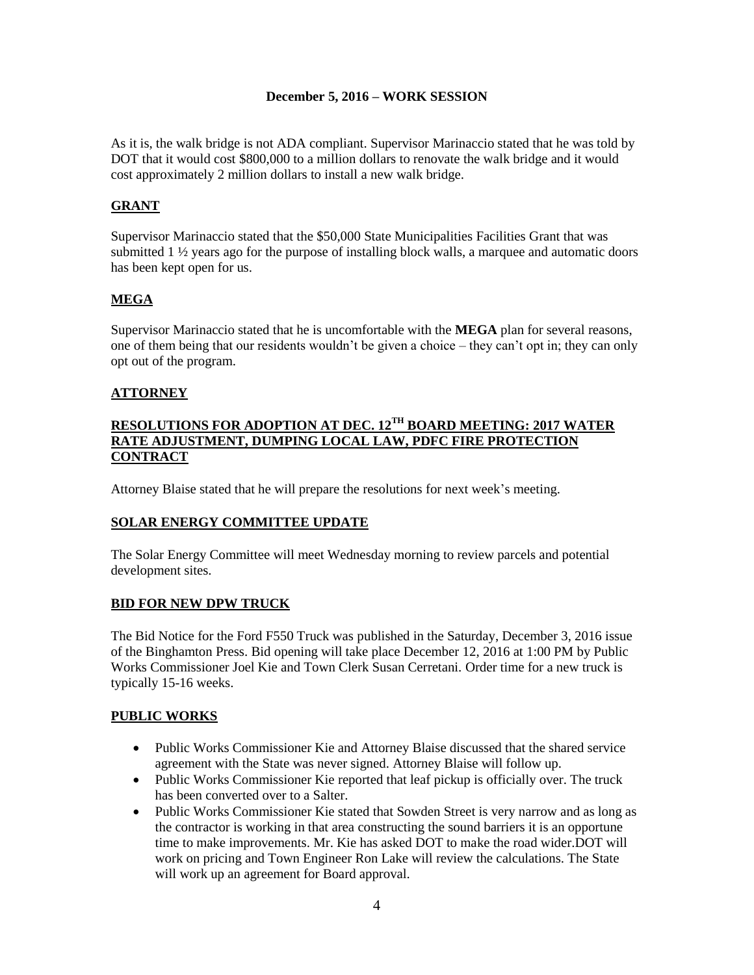As it is, the walk bridge is not ADA compliant. Supervisor Marinaccio stated that he was told by DOT that it would cost \$800,000 to a million dollars to renovate the walk bridge and it would cost approximately 2 million dollars to install a new walk bridge.

# **GRANT**

Supervisor Marinaccio stated that the \$50,000 State Municipalities Facilities Grant that was submitted 1 ½ years ago for the purpose of installing block walls, a marquee and automatic doors has been kept open for us.

## **MEGA**

Supervisor Marinaccio stated that he is uncomfortable with the **MEGA** plan for several reasons, one of them being that our residents wouldn't be given a choice – they can't opt in; they can only opt out of the program.

### **ATTORNEY**

#### **RESOLUTIONS FOR ADOPTION AT DEC. 12TH BOARD MEETING: 2017 WATER RATE ADJUSTMENT, DUMPING LOCAL LAW, PDFC FIRE PROTECTION CONTRACT**

Attorney Blaise stated that he will prepare the resolutions for next week's meeting.

# **SOLAR ENERGY COMMITTEE UPDATE**

The Solar Energy Committee will meet Wednesday morning to review parcels and potential development sites.

### **BID FOR NEW DPW TRUCK**

The Bid Notice for the Ford F550 Truck was published in the Saturday, December 3, 2016 issue of the Binghamton Press. Bid opening will take place December 12, 2016 at 1:00 PM by Public Works Commissioner Joel Kie and Town Clerk Susan Cerretani. Order time for a new truck is typically 15-16 weeks.

### **PUBLIC WORKS**

- Public Works Commissioner Kie and Attorney Blaise discussed that the shared service agreement with the State was never signed. Attorney Blaise will follow up.
- Public Works Commissioner Kie reported that leaf pickup is officially over. The truck has been converted over to a Salter.
- Public Works Commissioner Kie stated that Sowden Street is very narrow and as long as the contractor is working in that area constructing the sound barriers it is an opportune time to make improvements. Mr. Kie has asked DOT to make the road wider.DOT will work on pricing and Town Engineer Ron Lake will review the calculations. The State will work up an agreement for Board approval.